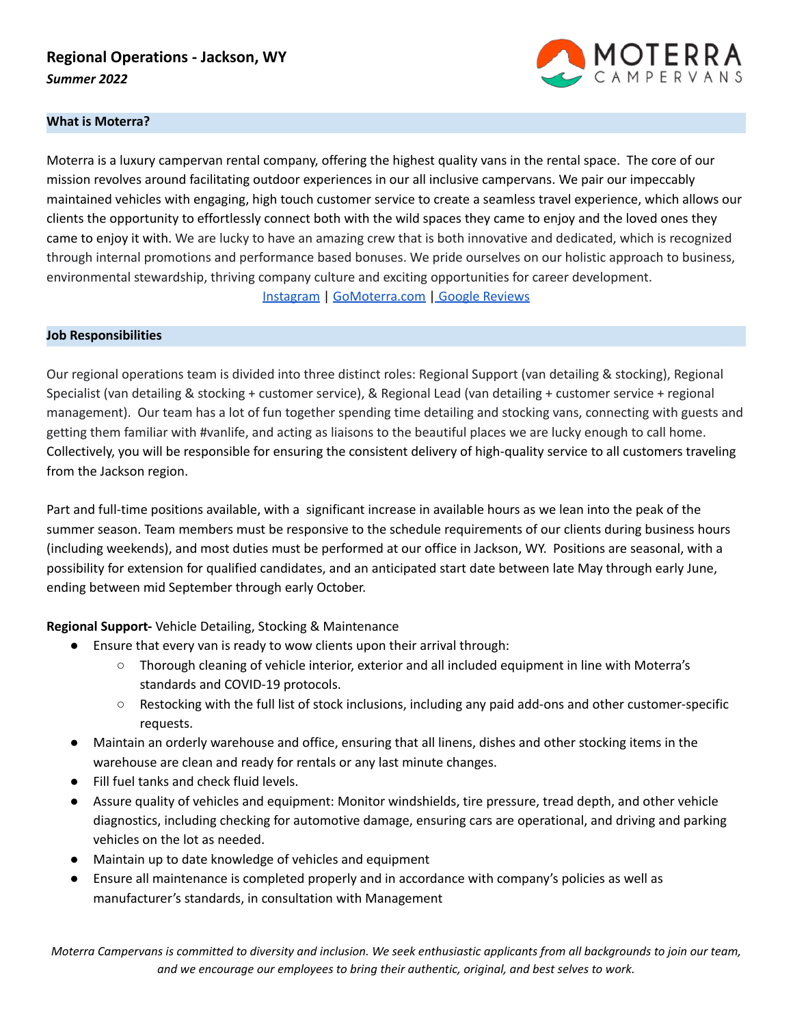# **Regional Operations - Jackson, WY** *Summer 2022*



### **What is Moterra?**

Moterra is a luxury campervan rental company, offering the highest quality vans in the rental space. The core of our mission revolves around facilitating outdoor experiences in our all inclusive campervans. We pair our impeccably maintained vehicles with engaging, high touch customer service to create a seamless travel experience, which allows our clients the opportunity to effortlessly connect both with the wild spaces they came to enjoy and the loved ones they came to enjoy it with. We are lucky to have an amazing crew that is both innovative and dedicated, which is recognized through internal promotions and performance based bonuses. We pride ourselves on our holistic approach to business, environmental stewardship, thriving company culture and exciting opportunities for career development. [Instagram](https://www.instagram.com/gomoterra/?hl=en) | [GoMoterra.com](http://gomoterra.com) | Google [Reviews](https://www.google.com/search?q=moterra+jackson+wy&oq=moterra+jackson+wy&aqs=chrome.0.69i59j69i64.3481j0j7&sourceid=chrome&ie=UTF-8#lrd=0x535317380268c6dd:0x90b890dfef0bc901,1,,,)

#### **Job Responsibilities**

Our regional operations team is divided into three distinct roles: Regional Support (van detailing & stocking), Regional Specialist (van detailing & stocking + customer service), & Regional Lead (van detailing + customer service + regional management). Our team has a lot of fun together spending time detailing and stocking vans, connecting with guests and getting them familiar with #vanlife, and acting as liaisons to the beautiful places we are lucky enough to call home. Collectively, you will be responsible for ensuring the consistent delivery of high-quality service to all customers traveling from the Jackson region.

Part and full-time positions available, with a significant increase in available hours as we lean into the peak of the summer season. Team members must be responsive to the schedule requirements of our clients during business hours (including weekends), and most duties must be performed at our office in Jackson, WY. Positions are seasonal, with a possibility for extension for qualified candidates, and an anticipated start date between late May through early June, ending between mid September through early October.

**Regional Support-** Vehicle Detailing, Stocking & Maintenance

- Ensure that every van is ready to wow clients upon their arrival through:
	- Thorough cleaning of vehicle interior, exterior and all included equipment in line with Moterra's standards and COVID-19 protocols.
	- Restocking with the full list of stock inclusions, including any paid add-ons and other customer-specific requests.
- Maintain an orderly warehouse and office, ensuring that all linens, dishes and other stocking items in the warehouse are clean and ready for rentals or any last minute changes.
- Fill fuel tanks and check fluid levels.
- Assure quality of vehicles and equipment: Monitor windshields, tire pressure, tread depth, and other vehicle diagnostics, including checking for automotive damage, ensuring cars are operational, and driving and parking vehicles on the lot as needed.
- Maintain up to date knowledge of vehicles and equipment
- Ensure all maintenance is completed properly and in accordance with company's policies as well as manufacturer's standards, in consultation with Management

Moterra Campervans is committed to diversity and inclusion. We seek enthusiastic applicants from all backgrounds to join our team, *and we encourage our employees to bring their authentic, original, and best selves to work.*